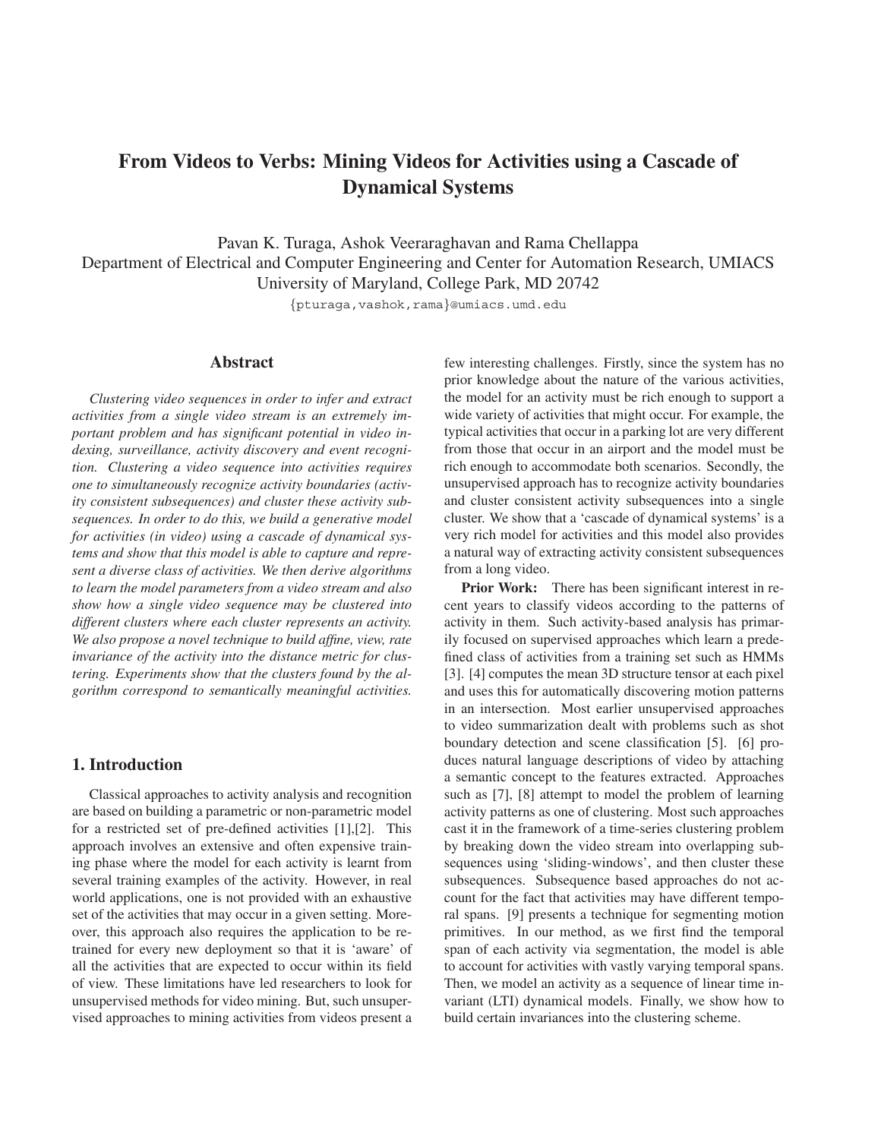# **From Videos to Verbs: Mining Videos for Activities using a Cascade of Dynamical Systems**

Pavan K. Turaga, Ashok Veeraraghavan and Rama Chellappa Department of Electrical and Computer Engineering and Center for Automation Research, UMIACS University of Maryland, College Park, MD 20742

{pturaga,vashok,rama}@umiacs.umd.edu

# **Abstract**

*Clustering video sequences in order to infer and extract activities from a single video stream is an extremely important problem and has significant potential in video indexing, surveillance, activity discovery and event recognition. Clustering a video sequence into activities requires one to simultaneously recognize activity boundaries (activity consistent subsequences) and cluster these activity subsequences. In order to do this, we build a generative model for activities (in video) using a cascade of dynamical systems and show that this model is able to capture and represent a diverse class of activities. We then derive algorithms to learn the model parameters from a video stream and also show how a single video sequence may be clustered into different clusters where each cluster represents an activity. We also propose a novel technique to build affine, view, rate invariance of the activity into the distance metric for clustering. Experiments show that the clusters found by the algorithm correspond to semantically meaningful activities.*

# **1. Introduction**

Classical approaches to activity analysis and recognition are based on building a parametric or non-parametric model for a restricted set of pre-defined activities [1],[2]. This approach involves an extensive and often expensive training phase where the model for each activity is learnt from several training examples of the activity. However, in real world applications, one is not provided with an exhaustive set of the activities that may occur in a given setting. Moreover, this approach also requires the application to be retrained for every new deployment so that it is 'aware' of all the activities that are expected to occur within its field of view. These limitations have led researchers to look for unsupervised methods for video mining. But, such unsupervised approaches to mining activities from videos present a

few interesting challenges. Firstly, since the system has no prior knowledge about the nature of the various activities, the model for an activity must be rich enough to support a wide variety of activities that might occur. For example, the typical activities that occur in a parking lot are very different from those that occur in an airport and the model must be rich enough to accommodate both scenarios. Secondly, the unsupervised approach has to recognize activity boundaries and cluster consistent activity subsequences into a single cluster. We show that a 'cascade of dynamical systems' is a very rich model for activities and this model also provides a natural way of extracting activity consistent subsequences from a long video.

**Prior Work:** There has been significant interest in recent years to classify videos according to the patterns of activity in them. Such activity-based analysis has primarily focused on supervised approaches which learn a predefined class of activities from a training set such as HMMs [3]. [4] computes the mean 3D structure tensor at each pixel and uses this for automatically discovering motion patterns in an intersection. Most earlier unsupervised approaches to video summarization dealt with problems such as shot boundary detection and scene classification [5]. [6] produces natural language descriptions of video by attaching a semantic concept to the features extracted. Approaches such as [7], [8] attempt to model the problem of learning activity patterns as one of clustering. Most such approaches cast it in the framework of a time-series clustering problem by breaking down the video stream into overlapping subsequences using 'sliding-windows', and then cluster these subsequences. Subsequence based approaches do not account for the fact that activities may have different temporal spans. [9] presents a technique for segmenting motion primitives. In our method, as we first find the temporal span of each activity via segmentation, the model is able to account for activities with vastly varying temporal spans. Then, we model an activity as a sequence of linear time invariant (LTI) dynamical models. Finally, we show how to build certain invariances into the clustering scheme.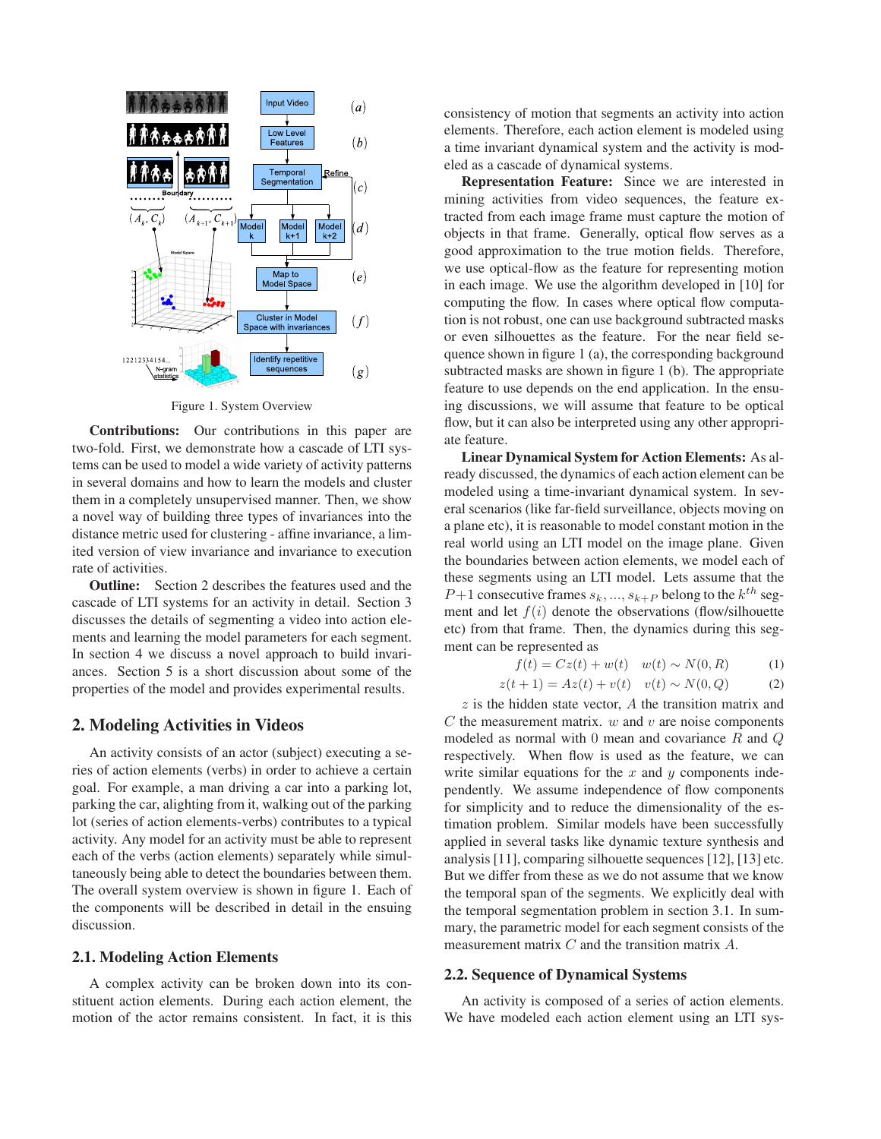

Figure 1. System Overview

**Contributions:** Our contributions in this paper are two-fold. First, we demonstrate how a cascade of LTI systems can be used to model a wide variety of activity patterns in several domains and how to learn the models and cluster them in a completely unsupervised manner. Then, we show a novel way of building three types of invariances into the distance metric used for clustering - affine invariance, a limited version of view invariance and invariance to execution rate of activities.

**Outline:** Section 2 describes the features used and the cascade of LTI systems for an activity in detail. Section 3 discusses the details of segmenting a video into action elements and learning the model parameters for each segment. In section 4 we discuss a novel approach to build invariances. Section 5 is a short discussion about some of the properties of the model and provides experimental results.

# **2. Modeling Activities in Videos**

An activity consists of an actor (subject) executing a series of action elements (verbs) in order to achieve a certain goal. For example, a man driving a car into a parking lot, parking the car, alighting from it, walking out of the parking lot (series of action elements-verbs) contributes to a typical activity. Any model for an activity must be able to represent each of the verbs (action elements) separately while simultaneously being able to detect the boundaries between them. The overall system overview is shown in figure 1. Each of the components will be described in detail in the ensuing discussion.

## **2.1. Modeling Action Elements**

A complex activity can be broken down into its constituent action elements. During each action element, the motion of the actor remains consistent. In fact, it is this consistency of motion that segments an activity into action elements. Therefore, each action element is modeled using a time invariant dynamical system and the activity is modeled as a cascade of dynamical systems.

**Representation Feature:** Since we are interested in mining activities from video sequences, the feature extracted from each image frame must capture the motion of objects in that frame. Generally, optical flow serves as a good approximation to the true motion fields. Therefore, we use optical-flow as the feature for representing motion in each image. We use the algorithm developed in [10] for computing the flow. In cases where optical flow computation is not robust, one can use background subtracted masks or even silhouettes as the feature. For the near field sequence shown in figure 1 (a), the corresponding background subtracted masks are shown in figure 1 (b). The appropriate feature to use depends on the end application. In the ensuing discussions, we will assume that feature to be optical flow, but it can also be interpreted using any other appropriate feature.

**Linear Dynamical System for Action Elements:** As already discussed, the dynamics of each action element can be modeled using a time-invariant dynamical system. In several scenarios (like far-field surveillance, objects moving on a plane etc), it is reasonable to model constant motion in the real world using an LTI model on the image plane. Given the boundaries between action elements, we model each of these segments using an LTI model. Lets assume that the  $P+1$  consecutive frames  $s_k, ..., s_{k+P}$  belong to the  $k^{th}$  segment and let  $f(i)$  denote the observations (flow/silhouette etc) from that frame. Then, the dynamics during this segment can be represented as

$$
f(t) = Cz(t) + w(t) \quad w(t) \sim N(0, R) \tag{1}
$$

$$
z(t+1) = Az(t) + v(t) \quad v(t) \sim N(0, Q) \tag{2}
$$

 $z$  is the hidden state vector,  $A$  the transition matrix and  $C$  the measurement matrix.  $w$  and  $v$  are noise components modeled as normal with 0 mean and covariance  $R$  and  $Q$ respectively. When flow is used as the feature, we can write similar equations for the  $x$  and  $y$  components independently. We assume independence of flow components for simplicity and to reduce the dimensionality of the estimation problem. Similar models have been successfully applied in several tasks like dynamic texture synthesis and analysis [11], comparing silhouette sequences [12], [13] etc. But we differ from these as we do not assume that we know the temporal span of the segments. We explicitly deal with the temporal segmentation problem in section 3.1. In summary, the parametric model for each segment consists of the measurement matrix C and the transition matrix A.

#### **2.2. Sequence of Dynamical Systems**

An activity is composed of a series of action elements. We have modeled each action element using an LTI sys-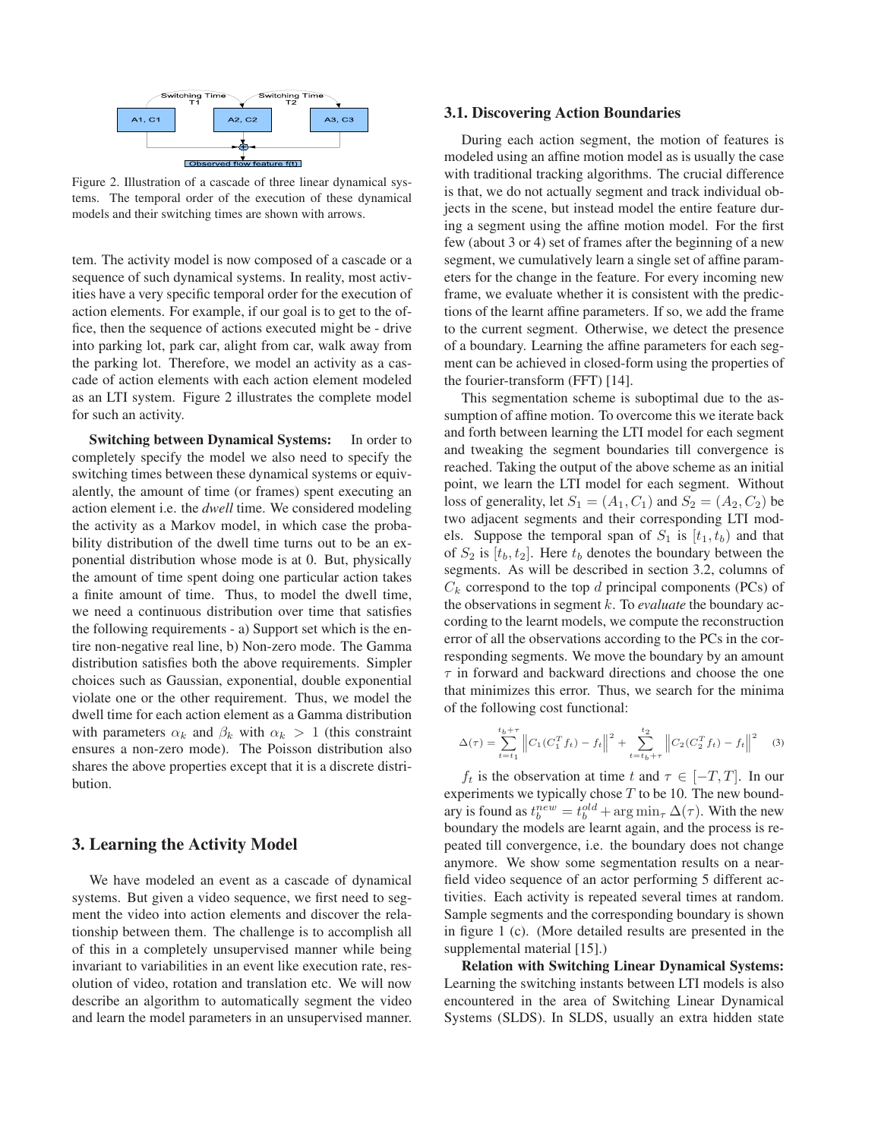

Figure 2. Illustration of a cascade of three linear dynamical systems. The temporal order of the execution of these dynamical models and their switching times are shown with arrows.

tem. The activity model is now composed of a cascade or a sequence of such dynamical systems. In reality, most activities have a very specific temporal order for the execution of action elements. For example, if our goal is to get to the office, then the sequence of actions executed might be - drive into parking lot, park car, alight from car, walk away from the parking lot. Therefore, we model an activity as a cascade of action elements with each action element modeled as an LTI system. Figure 2 illustrates the complete model for such an activity.

**Switching between Dynamical Systems:** In order to completely specify the model we also need to specify the switching times between these dynamical systems or equivalently, the amount of time (or frames) spent executing an action element i.e. the *dwell* time. We considered modeling the activity as a Markov model, in which case the probability distribution of the dwell time turns out to be an exponential distribution whose mode is at 0. But, physically the amount of time spent doing one particular action takes a finite amount of time. Thus, to model the dwell time, we need a continuous distribution over time that satisfies the following requirements - a) Support set which is the entire non-negative real line, b) Non-zero mode. The Gamma distribution satisfies both the above requirements. Simpler choices such as Gaussian, exponential, double exponential violate one or the other requirement. Thus, we model the dwell time for each action element as a Gamma distribution with parameters  $\alpha_k$  and  $\beta_k$  with  $\alpha_k > 1$  (this constraint ensures a non-zero mode). The Poisson distribution also shares the above properties except that it is a discrete distribution.

# **3. Learning the Activity Model**

We have modeled an event as a cascade of dynamical systems. But given a video sequence, we first need to segment the video into action elements and discover the relationship between them. The challenge is to accomplish all of this in a completely unsupervised manner while being invariant to variabilities in an event like execution rate, resolution of video, rotation and translation etc. We will now describe an algorithm to automatically segment the video and learn the model parameters in an unsupervised manner.

#### **3.1. Discovering Action Boundaries**

During each action segment, the motion of features is modeled using an affine motion model as is usually the case with traditional tracking algorithms. The crucial difference is that, we do not actually segment and track individual objects in the scene, but instead model the entire feature during a segment using the affine motion model. For the first few (about 3 or 4) set of frames after the beginning of a new segment, we cumulatively learn a single set of affine parameters for the change in the feature. For every incoming new frame, we evaluate whether it is consistent with the predictions of the learnt affine parameters. If so, we add the frame to the current segment. Otherwise, we detect the presence of a boundary. Learning the affine parameters for each segment can be achieved in closed-form using the properties of the fourier-transform (FFT) [14].

This segmentation scheme is suboptimal due to the assumption of affine motion. To overcome this we iterate back and forth between learning the LTI model for each segment and tweaking the segment boundaries till convergence is reached. Taking the output of the above scheme as an initial point, we learn the LTI model for each segment. Without loss of generality, let  $S_1 = (A_1, C_1)$  and  $S_2 = (A_2, C_2)$  be two adjacent segments and their corresponding LTI models. Suppose the temporal span of  $S_1$  is  $[t_1, t_b)$  and that of  $S_2$  is  $[t_b, t_2]$ . Here  $t_b$  denotes the boundary between the segments. As will be described in section 3.2, columns of  $C_k$  correspond to the top d principal components (PCs) of the observations in segment k. To *evaluate* the boundary according to the learnt models, we compute the reconstruction error of all the observations according to the PCs in the corresponding segments. We move the boundary by an amount  $\tau$  in forward and backward directions and choose the one that minimizes this error. Thus, we search for the minima of the following cost functional:

$$
\Delta(\tau) = \sum_{t=t_1}^{t_b+\tau} \left\| C_1(C_1^T f_t) - f_t \right\|^2 + \sum_{t=t_b+\tau}^{t_2} \left\| C_2(C_2^T f_t) - f_t \right\|^2 \tag{3}
$$

 $f_t$  is the observation at time t and  $\tau \in [-T, T]$ . In our experiments we typically chose  $T$  to be 10. The new boundary is found as  $t_b^{new} = t_b^{old} + \arg \min_{\tau} \Delta(\tau)$ . With the new boundary the models are learnt again, and the process is repeated till convergence, i.e. the boundary does not change anymore. We show some segmentation results on a nearfield video sequence of an actor performing 5 different activities. Each activity is repeated several times at random. Sample segments and the corresponding boundary is shown in figure 1 (c). (More detailed results are presented in the supplemental material [15].)

**Relation with Switching Linear Dynamical Systems:** Learning the switching instants between LTI models is also encountered in the area of Switching Linear Dynamical Systems (SLDS). In SLDS, usually an extra hidden state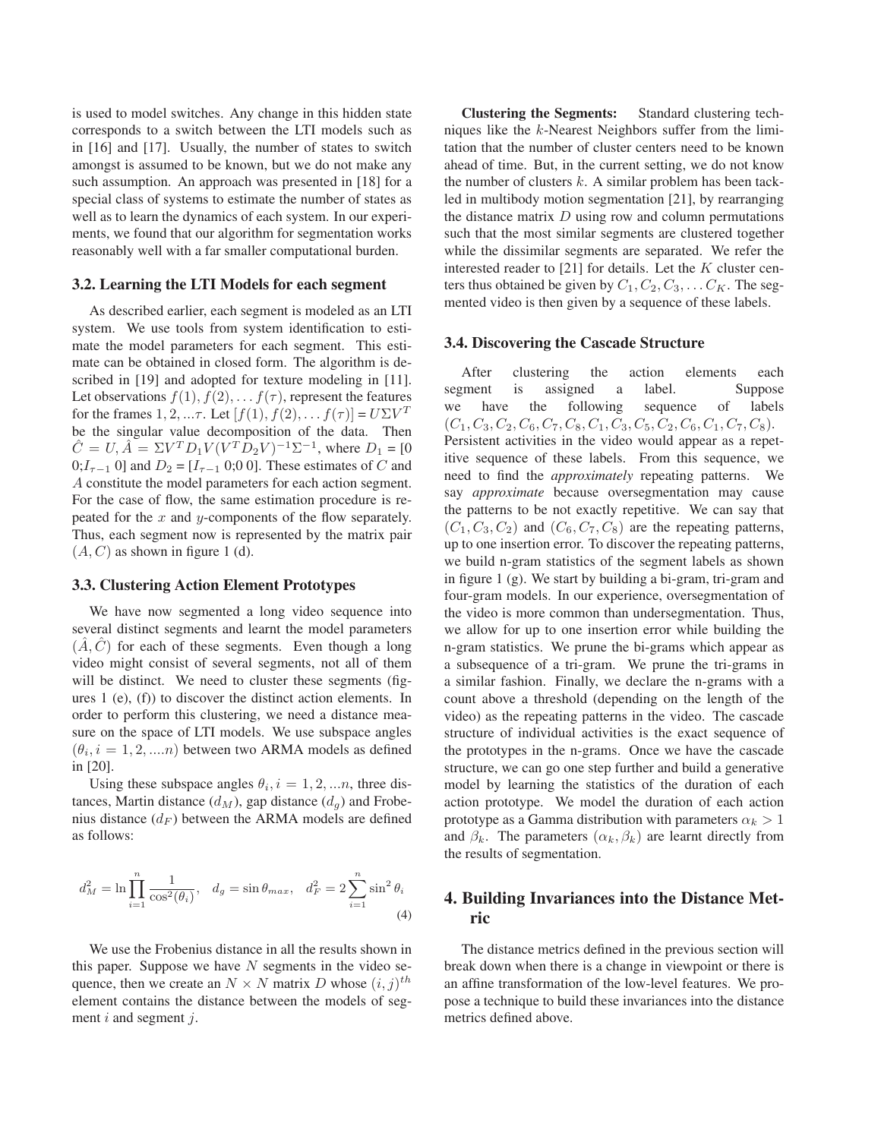is used to model switches. Any change in this hidden state corresponds to a switch between the LTI models such as in [16] and [17]. Usually, the number of states to switch amongst is assumed to be known, but we do not make any such assumption. An approach was presented in [18] for a special class of systems to estimate the number of states as well as to learn the dynamics of each system. In our experiments, we found that our algorithm for segmentation works reasonably well with a far smaller computational burden.

#### **3.2. Learning the LTI Models for each segment**

As described earlier, each segment is modeled as an LTI system. We use tools from system identification to estimate the model parameters for each segment. This estimate can be obtained in closed form. The algorithm is described in [19] and adopted for texture modeling in [11]. Let observations  $f(1), f(2), \ldots, f(\tau)$ , represent the features for the frames  $1, 2, ... \tau$ . Let  $[f(1), f(2), ... f(\tau)] = U \Sigma V^T$ be the singular value decomposition of the data. Then  $\hat{C} = U, \hat{A} = \Sigma V^T D_1 V (V^T D_2 V)^{-1} \Sigma^{-1}$ , where  $D_1 = [0]$  $0;I_{\tau-1}$  0] and  $D_2 = [I_{\tau-1} \ 0;0 \ 0]$ . These estimates of C and A constitute the model parameters for each action segment. For the case of flow, the same estimation procedure is repeated for the  $x$  and  $y$ -components of the flow separately. Thus, each segment now is represented by the matrix pair  $(A, C)$  as shown in figure 1 (d).

#### **3.3. Clustering Action Element Prototypes**

We have now segmented a long video sequence into several distinct segments and learnt the model parameters  $(A, C)$  for each of these segments. Even though a long video might consist of several segments, not all of them will be distinct. We need to cluster these segments (figures 1 (e), (f)) to discover the distinct action elements. In order to perform this clustering, we need a distance measure on the space of LTI models. We use subspace angles  $(\theta_i, i = 1, 2, \dots n)$  between two ARMA models as defined in [20].

Using these subspace angles  $\theta_i$ ,  $i = 1, 2, \dots n$ , three distances, Martin distance  $(d_M)$ , gap distance  $(d_q)$  and Frobenius distance  $(d_F)$  between the ARMA models are defined as follows:

$$
d_M^2 = \ln \prod_{i=1}^n \frac{1}{\cos^2(\theta_i)}, \quad d_g = \sin \theta_{max}, \quad d_F^2 = 2 \sum_{i=1}^n \sin^2 \theta_i
$$
\n(4)

We use the Frobenius distance in all the results shown in this paper. Suppose we have  $N$  segments in the video sequence, then we create an  $N \times N$  matrix D whose  $(i, j)$ <sup>th</sup> element contains the distance between the models of segment  $i$  and segment  $j$ .

**Clustering the Segments:** Standard clustering techniques like the k-Nearest Neighbors suffer from the limitation that the number of cluster centers need to be known ahead of time. But, in the current setting, we do not know the number of clusters  $k$ . A similar problem has been tackled in multibody motion segmentation [21], by rearranging the distance matrix  $D$  using row and column permutations such that the most similar segments are clustered together while the dissimilar segments are separated. We refer the interested reader to  $[21]$  for details. Let the  $K$  cluster centers thus obtained be given by  $C_1, C_2, C_3, \ldots C_K$ . The segmented video is then given by a sequence of these labels.

#### **3.4. Discovering the Cascade Structure**

After clustering the action elements each segment is assigned a label. Suppose we have the following sequence of labels  $(C_1, C_3, C_2, C_6, C_7, C_8, C_1, C_3, C_5, C_2, C_6, C_1, C_7, C_8).$ Persistent activities in the video would appear as a repetitive sequence of these labels. From this sequence, we need to find the *approximately* repeating patterns. We say *approximate* because oversegmentation may cause the patterns to be not exactly repetitive. We can say that  $(C_1, C_3, C_2)$  and  $(C_6, C_7, C_8)$  are the repeating patterns, up to one insertion error. To discover the repeating patterns, we build n-gram statistics of the segment labels as shown in figure 1 (g). We start by building a bi-gram, tri-gram and four-gram models. In our experience, oversegmentation of the video is more common than undersegmentation. Thus, we allow for up to one insertion error while building the n-gram statistics. We prune the bi-grams which appear as a subsequence of a tri-gram. We prune the tri-grams in a similar fashion. Finally, we declare the n-grams with a count above a threshold (depending on the length of the video) as the repeating patterns in the video. The cascade structure of individual activities is the exact sequence of the prototypes in the n-grams. Once we have the cascade structure, we can go one step further and build a generative model by learning the statistics of the duration of each action prototype. We model the duration of each action prototype as a Gamma distribution with parameters  $\alpha_k > 1$ and  $\beta_k$ . The parameters  $(\alpha_k, \beta_k)$  are learnt directly from the results of segmentation.

# **4. Building Invariances into the Distance Metric**

The distance metrics defined in the previous section will break down when there is a change in viewpoint or there is an affine transformation of the low-level features. We propose a technique to build these invariances into the distance metrics defined above.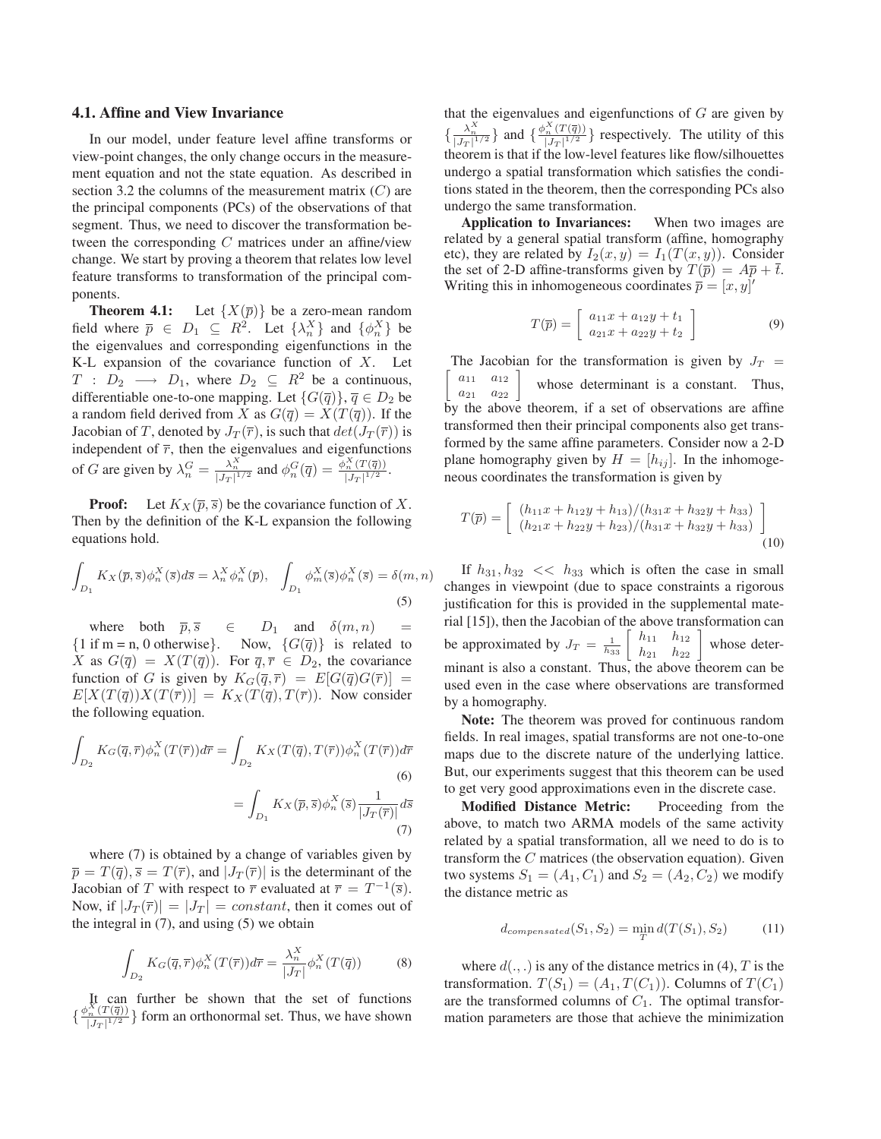#### **4.1. Affine and View Invariance**

In our model, under feature level affine transforms or view-point changes, the only change occurs in the measurement equation and not the state equation. As described in section 3.2 the columns of the measurement matrix  $(C)$  are the principal components (PCs) of the observations of that segment. Thus, we need to discover the transformation between the corresponding C matrices under an affine/view change. We start by proving a theorem that relates low level feature transforms to transformation of the principal components.

**Theorem 4.1:** Let  $\{X(\overline{p})\}$  be a zero-mean random field where  $\overline{p} \in D_1 \subseteq R^2$ . Let  $\{\lambda_n^X\}$  and  $\{\phi_n^X\}$  be the eigenvalues and corresponding eigenfunctions in the K-L expansion of the covariance function of  $X$ . Let  $T : D_2 \longrightarrow D_1$ , where  $D_2 \subseteq R^2$  be a continuous, differentiable one-to-one mapping. Let  $\{G(\overline{q})\}, \overline{q} \in D_2$  be a random field derived from X as  $G(\overline{q}) = X(T(\overline{q}))$ . If the Jacobian of T, denoted by  $J_T(\overline{r})$ , is such that  $det(J_T(\overline{r}))$  is independent of  $\overline{r}$ , then the eigenvalues and eigenfunctions of G are given by  $\lambda_n^G = \frac{\lambda_n^X}{|J_T|^{1/2}}$  and  $\phi_n^G(\overline{q}) = \frac{\phi_n^X(T(\overline{q}))}{|J_T|^{1/2}}$  $\frac{J_n (I(q))}{|J_T|^{1/2}}$ .

**Proof:** Let  $K_X(\overline{p}, \overline{s})$  be the covariance function of X. Then by the definition of the K-L expansion the following equations hold.

$$
\int_{D_1} K_X(\overline{p}, \overline{s}) \phi_n^X(\overline{s}) d\overline{s} = \lambda_n^X \phi_n^X(\overline{p}), \quad \int_{D_1} \phi_m^X(\overline{s}) \phi_n^X(\overline{s}) = \delta(m, n)
$$
\n(5)

where both  $\overline{p}, \overline{s} \in D_1$  and  $\delta(m, n)$ {1 if m = n, 0 otherwise}. Now,  $\{G(\overline{q})\}$  is related to X as  $G(\overline{q}) = X(T(\overline{q}))$ . For  $\overline{q}, \overline{r} \in D_2$ , the covariance function of G is given by  $K_G(\overline{q}, \overline{r}) = E[G(\overline{q})G(\overline{r})] =$  $E[X(T(\overline{q}))X(T(\overline{r}))] = K_X(T(\overline{q}), T(\overline{r}))$ . Now consider the following equation.

$$
\int_{D_2} K_G(\overline{q}, \overline{r}) \phi_n^X(T(\overline{r})) d\overline{r} = \int_{D_2} K_X(T(\overline{q}), T(\overline{r})) \phi_n^X(T(\overline{r})) d\overline{r}
$$
\n
$$
= \int_{D_1} K_X(\overline{p}, \overline{s}) \phi_n^X(\overline{s}) \frac{1}{|J_T(\overline{r})|} d\overline{s}
$$
\n(7)

where (7) is obtained by a change of variables given by  $\overline{p} = T(\overline{q}), \overline{s} = T(\overline{r}),$  and  $|J_T(\overline{r})|$  is the determinant of the Jacobian of T with respect to  $\overline{r}$  evaluated at  $\overline{r} = T^{-1}(\overline{s})$ . Now, if  $|J_T(\overline{r})| = |J_T|$  = constant, then it comes out of the integral in (7), and using (5) we obtain

$$
\int_{D_2} K_G(\overline{q}, \overline{r}) \phi_n^X(T(\overline{r})) d\overline{r} = \frac{\lambda_n^X}{|J_T|} \phi_n^X(T(\overline{q})) \tag{8}
$$

It can further be shown that the set of functions  $\{\frac{\phi_n^{\bar{X}}(T(\bar{q}))}{|J_T|^{1/2}}$  $\left|\frac{J_T (T(q))}{|J_T|^{1/2}}\right\}$  form an orthonormal set. Thus, we have shown that the eigenvalues and eigenfunctions of  $G$  are given by  $\{\frac{\lambda_n^X}{|J_T|^{1/2}}\}$  and  $\{\frac{\phi_n^X(T(\overline{q}))}{|J_T|^{1/2}}\}$  $\left[\frac{J_n (T(q))}{|J_T|^{1/2}}\right]$  respectively. The utility of this theorem is that if the low-level features like flow/silhouettes undergo a spatial transformation which satisfies the conditions stated in the theorem, then the corresponding PCs also undergo the same transformation.

**Application to Invariances:** When two images are related by a general spatial transform (affine, homography etc), they are related by  $I_2(x, y) = I_1(T(x, y))$ . Consider the set of 2-D affine-transforms given by  $T(\bar{p}) = A\bar{p} + \bar{t}$ . Writing this in inhomogeneous coordinates  $\overline{p} = [x, y]'$ 

$$
T(\overline{p}) = \left[ \begin{array}{c} a_{11}x + a_{12}y + t_1 \\ a_{21}x + a_{22}y + t_2 \end{array} \right] \tag{9}
$$

The Jacobian for the transformation is given by  $J_T$  =  $a_{11}$   $a_{12}$  $a_{21}$   $a_{22}$ whose determinant is a constant. Thus, by the above theorem, if a set of observations are affine transformed then their principal components also get transformed by the same affine parameters. Consider now a 2-D plane homography given by  $H = [h_{ij}]$ . In the inhomogeneous coordinates the transformation is given by

$$
T(\overline{p}) = \begin{bmatrix} (h_{11}x + h_{12}y + h_{13})/(h_{31}x + h_{32}y + h_{33}) \\ (h_{21}x + h_{22}y + h_{23})/(h_{31}x + h_{32}y + h_{33}) \end{bmatrix}
$$
  
(10)

If  $h_{31}, h_{32}$  <<  $h_{33}$  which is often the case in small changes in viewpoint (due to space constraints a rigorous justification for this is provided in the supplemental material [15]), then the Jacobian of the above transformation can be approximated by  $J_T = \frac{1}{h_{33}} \begin{bmatrix} h_{11} & h_{12} \\ h_{21} & h_{22} \end{bmatrix}$ whose determinant is also a constant. Thus, the above theorem can be used even in the case where observations are transformed by a homography.

**Note:** The theorem was proved for continuous random fields. In real images, spatial transforms are not one-to-one maps due to the discrete nature of the underlying lattice. But, our experiments suggest that this theorem can be used to get very good approximations even in the discrete case.

**Modified Distance Metric:** Proceeding from the above, to match two ARMA models of the same activity related by a spatial transformation, all we need to do is to transform the C matrices (the observation equation). Given two systems  $S_1 = (A_1, C_1)$  and  $S_2 = (A_2, C_2)$  we modify the distance metric as

$$
d_{compensated}(S_1, S_2) = \min_{T} d(T(S_1), S_2)
$$
 (11)

where  $d(.,.)$  is any of the distance metrics in (4), T is the transformation.  $T(S_1)=(A_1, T(C_1))$ . Columns of  $T(C_1)$ are the transformed columns of  $C_1$ . The optimal transformation parameters are those that achieve the minimization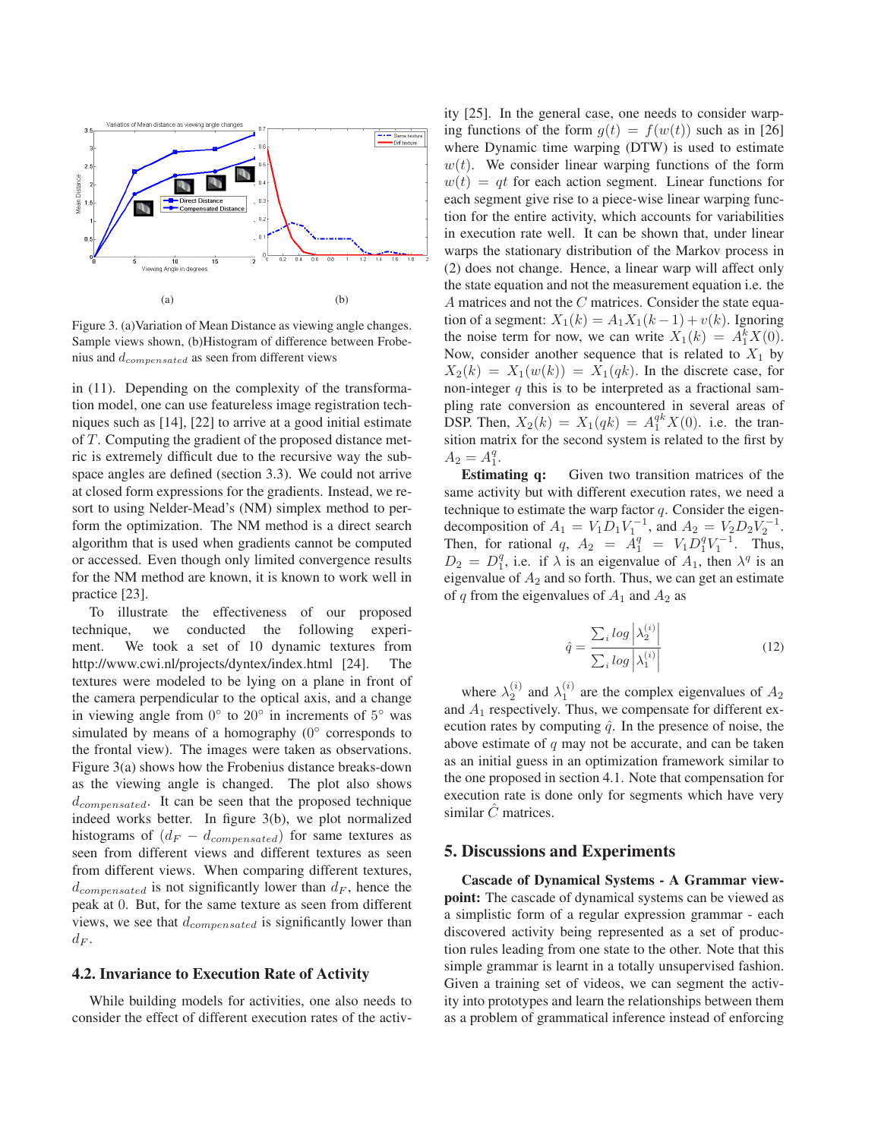

Figure 3. (a)Variation of Mean Distance as viewing angle changes. Sample views shown, (b)Histogram of difference between Frobenius and d*compensated* as seen from different views

in (11). Depending on the complexity of the transformation model, one can use featureless image registration techniques such as [14], [22] to arrive at a good initial estimate of T. Computing the gradient of the proposed distance metric is extremely difficult due to the recursive way the subspace angles are defined (section 3.3). We could not arrive at closed form expressions for the gradients. Instead, we resort to using Nelder-Mead's (NM) simplex method to perform the optimization. The NM method is a direct search algorithm that is used when gradients cannot be computed or accessed. Even though only limited convergence results for the NM method are known, it is known to work well in practice [23].

To illustrate the effectiveness of our proposed technique, we conducted the following experiment. We took a set of 10 dynamic textures from http://www.cwi.nl/projects/dyntex/index.html [24]. The textures were modeled to be lying on a plane in front of the camera perpendicular to the optical axis, and a change in viewing angle from  $0°$  to  $20°$  in increments of  $5°$  was simulated by means of a homography  $(0<sup>°</sup>$  corresponds to the frontal view). The images were taken as observations. Figure 3(a) shows how the Frobenius distance breaks-down as the viewing angle is changed. The plot also shows  $d_{compensated}$ . It can be seen that the proposed technique indeed works better. In figure 3(b), we plot normalized histograms of  $(d_F - d_{compensated})$  for same textures as seen from different views and different textures as seen from different views. When comparing different textures,  $d_{compensated}$  is not significantly lower than  $d_F$ , hence the peak at 0. But, for the same texture as seen from different views, we see that  $d_{compensated}$  is significantly lower than  $d_F$ .

#### **4.2. Invariance to Execution Rate of Activity**

While building models for activities, one also needs to consider the effect of different execution rates of the activity [25]. In the general case, one needs to consider warping functions of the form  $q(t) = f(w(t))$  such as in [26] where Dynamic time warping (DTW) is used to estimate  $w(t)$ . We consider linear warping functions of the form  $w(t) = qt$  for each action segment. Linear functions for each segment give rise to a piece-wise linear warping function for the entire activity, which accounts for variabilities in execution rate well. It can be shown that, under linear warps the stationary distribution of the Markov process in (2) does not change. Hence, a linear warp will affect only the state equation and not the measurement equation i.e. the A matrices and not the C matrices. Consider the state equation of a segment:  $X_1(k) = A_1 X_1(k-1) + v(k)$ . Ignoring the noise term for now, we can write  $X_1(k) = A_1^k X(0)$ .<br>Now, consider another sequence that is related to X, by Now, consider another sequence that is related to  $X_1$  by  $X_2(k) = X_1(w(k)) = X_1(qk)$ . In the discrete case, for non-integer  $q$  this is to be interpreted as a fractional sampling rate conversion as encountered in several areas of DSP. Then,  $X_2(k) = X_1(qk) = A_1^{qk} X(0)$ . i.e. the tran-<br>sition matrix for the second system is related to the first by sition matrix for the second system is related to the first by  $A_2 = A_1^q$ .<br>Estiments

**Estimating q:** Given two transition matrices of the same activity but with different execution rates, we need a technique to estimate the warp factor  $q$ . Consider the eigendecomposition of  $A_1 = V_1 D_1 V_1^{-1}$ , and  $A_2 = V_2 D_2 V_2^{-1}$ .<br>Then for rational  $a \quad A_2 = A^q - V_1 D^q V_1^{-1}$ . Thus Then, for rational  $q$ ,  $A_2 = \tilde{A}_1^q = V_1 D_1^q V_1^{-1}$ . Thus,<br> $D_2 - D_1^q$  i.e. if  $\lambda$  is an eigenvalue of  $A_1$ , then  $\lambda_q$  is an  $D_2 = D_1^q$ , i.e. if  $\lambda$  is an eigenvalue of  $A_1$ , then  $\lambda^q$  is an eigenvalue of  $A_2$  and so forth. Thus we can get an estimate eigenvalue of  $A_2$  and so forth. Thus, we can get an estimate of q from the eigenvalues of  $A_1$  and  $A_2$  as

$$
\hat{q} = \frac{\sum_{i} \log \left| \lambda_2^{(i)} \right|}{\sum_{i} \log \left| \lambda_1^{(i)} \right|} \tag{12}
$$

where  $\lambda_2^{(i)}$  and  $\lambda_1^{(i)}$  are the complex eigenvalues of  $A_2$ and  $A_1$  respectively. Thus, we compensate for different execution rates by computing  $\hat{q}$ . In the presence of noise, the above estimate of  $q$  may not be accurate, and can be taken as an initial guess in an optimization framework similar to the one proposed in section 4.1. Note that compensation for execution rate is done only for segments which have very similar  $C$  matrices.

## **5. Discussions and Experiments**

**Cascade of Dynamical Systems - A Grammar viewpoint:** The cascade of dynamical systems can be viewed as a simplistic form of a regular expression grammar - each discovered activity being represented as a set of production rules leading from one state to the other. Note that this simple grammar is learnt in a totally unsupervised fashion. Given a training set of videos, we can segment the activity into prototypes and learn the relationships between them as a problem of grammatical inference instead of enforcing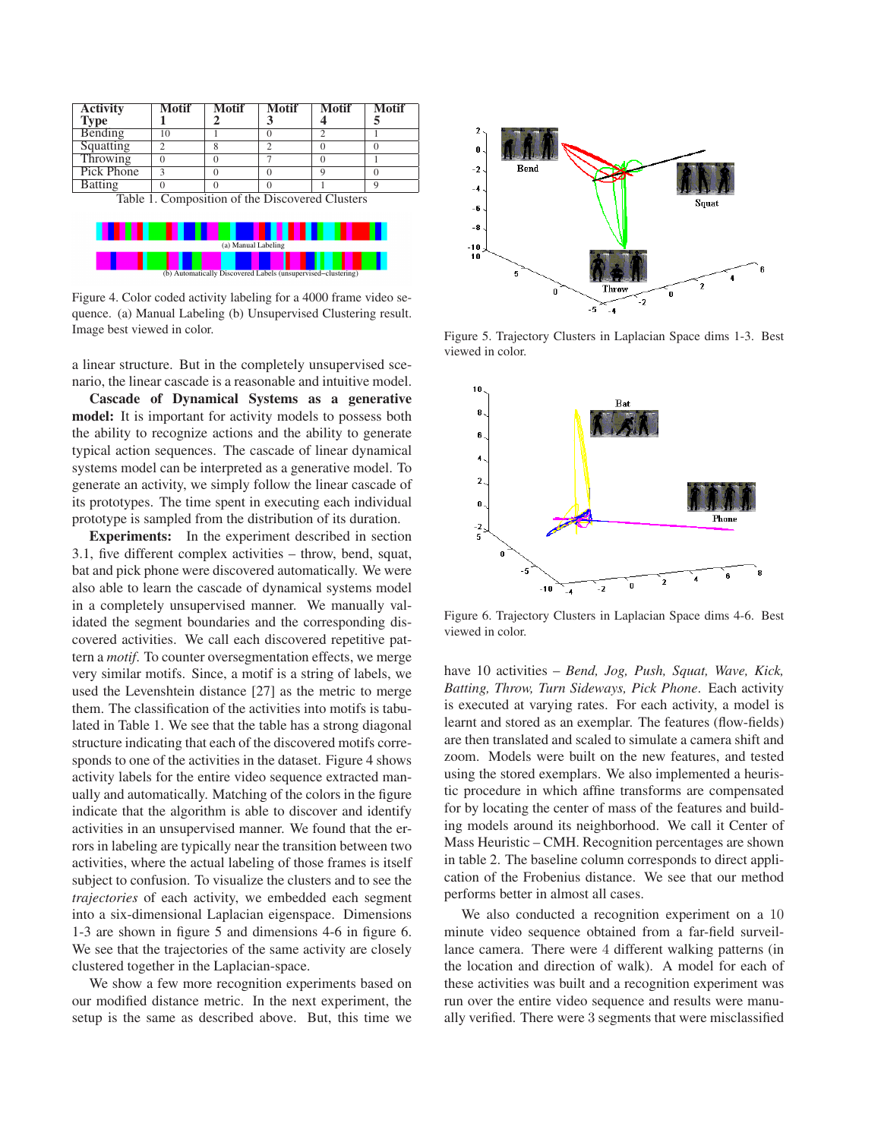| <b>Activity</b><br><b>Type</b>                  | Motif | <b>Motif</b> | Motif | Motif | <b>Motif</b> |  |  |
|-------------------------------------------------|-------|--------------|-------|-------|--------------|--|--|
| Bending                                         | 10    |              |       |       |              |  |  |
| Squatting                                       |       |              |       |       |              |  |  |
| Throwing                                        |       |              |       |       |              |  |  |
| <b>Pick Phone</b>                               |       |              |       |       |              |  |  |
| <b>Batting</b>                                  |       |              |       |       |              |  |  |
| Table 1. Composition of the Discovered Clusters |       |              |       |       |              |  |  |





Figure 4. Color coded activity labeling for a 4000 frame video sequence. (a) Manual Labeling (b) Unsupervised Clustering result. Image best viewed in color.

a linear structure. But in the completely unsupervised scenario, the linear cascade is a reasonable and intuitive model.

**Cascade of Dynamical Systems as a generative model:** It is important for activity models to possess both the ability to recognize actions and the ability to generate typical action sequences. The cascade of linear dynamical systems model can be interpreted as a generative model. To generate an activity, we simply follow the linear cascade of its prototypes. The time spent in executing each individual prototype is sampled from the distribution of its duration.

**Experiments:** In the experiment described in section 3.1, five different complex activities – throw, bend, squat, bat and pick phone were discovered automatically. We were also able to learn the cascade of dynamical systems model in a completely unsupervised manner. We manually validated the segment boundaries and the corresponding discovered activities. We call each discovered repetitive pattern a *motif*. To counter oversegmentation effects, we merge very similar motifs. Since, a motif is a string of labels, we used the Levenshtein distance [27] as the metric to merge them. The classification of the activities into motifs is tabulated in Table 1. We see that the table has a strong diagonal structure indicating that each of the discovered motifs corresponds to one of the activities in the dataset. Figure 4 shows activity labels for the entire video sequence extracted manually and automatically. Matching of the colors in the figure indicate that the algorithm is able to discover and identify activities in an unsupervised manner. We found that the errors in labeling are typically near the transition between two activities, where the actual labeling of those frames is itself subject to confusion. To visualize the clusters and to see the *trajectories* of each activity, we embedded each segment into a six-dimensional Laplacian eigenspace. Dimensions 1-3 are shown in figure 5 and dimensions 4-6 in figure 6. We see that the trajectories of the same activity are closely clustered together in the Laplacian-space.

We show a few more recognition experiments based on our modified distance metric. In the next experiment, the setup is the same as described above. But, this time we



Figure 5. Trajectory Clusters in Laplacian Space dims 1-3. Best viewed in color.



Figure 6. Trajectory Clusters in Laplacian Space dims 4-6. Best viewed in color.

have 10 activities – *Bend, Jog, Push, Squat, Wave, Kick, Batting, Throw, Turn Sideways, Pick Phone*. Each activity is executed at varying rates. For each activity, a model is learnt and stored as an exemplar. The features (flow-fields) are then translated and scaled to simulate a camera shift and zoom. Models were built on the new features, and tested using the stored exemplars. We also implemented a heuristic procedure in which affine transforms are compensated for by locating the center of mass of the features and building models around its neighborhood. We call it Center of Mass Heuristic – CMH. Recognition percentages are shown in table 2. The baseline column corresponds to direct application of the Frobenius distance. We see that our method performs better in almost all cases.

We also conducted a recognition experiment on a 10 minute video sequence obtained from a far-field surveillance camera. There were 4 different walking patterns (in the location and direction of walk). A model for each of these activities was built and a recognition experiment was run over the entire video sequence and results were manually verified. There were 3 segments that were misclassified